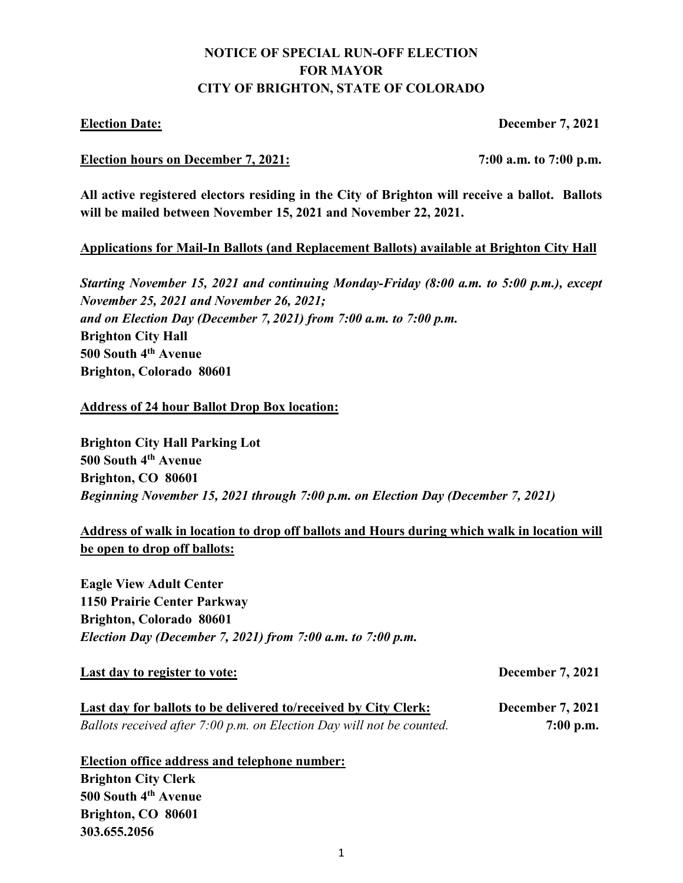# **NOTICE OF SPECIAL RUN-OFF ELECTION FOR MAYOR CITY OF BRIGHTON, STATE OF COLORADO**

**Election Date: December 7, 2021**

#### **Election hours on December 7, 2021: 7:00 a.m. to 7:00 p.m.**

**All active registered electors residing in the City of Brighton will receive a ballot. Ballots will be mailed between November 15, 2021 and November 22, 2021.**

## **Applications for Mail-In Ballots (and Replacement Ballots) available at Brighton City Hall**

*Starting November 15, 2021 and continuing Monday-Friday (8:00 a.m. to 5:00 p.m.), except November 25, 2021 and November 26, 2021; and on Election Day (December 7, 2021) from 7:00 a.m. to 7:00 p.m.* **Brighton City Hall 500 South 4th Avenue Brighton, Colorado 80601** 

### **Address of 24 hour Ballot Drop Box location:**

**Brighton City Hall Parking Lot 500 South 4th Avenue Brighton, CO 80601** *Beginning November 15, 2021 through 7:00 p.m. on Election Day (December 7, 2021)*

# **Address of walk in location to drop off ballots and Hours during which walk in location will be open to drop off ballots:**

**Eagle View Adult Center 1150 Prairie Center Parkway Brighton, Colorado 80601**  *Election Day (December 7, 2021) from 7:00 a.m. to 7:00 p.m.*

#### Last day to register to vote: December 7, 2021

| Last day for ballots to be delivered to/received by City Clerk:       | <b>December 7, 2021</b> |
|-----------------------------------------------------------------------|-------------------------|
| Ballots received after 7:00 p.m. on Election Day will not be counted. | $7:00$ p.m.             |

**Election office address and telephone number: Brighton City Clerk 500 South 4th Avenue Brighton, CO 80601 303.655.2056**